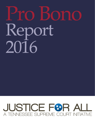# Pro Bono Report 2016

## **JUSTICE FOR ALL** TENNESSEE SUPREME COURT INITIATIVE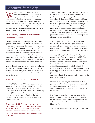#### **Executive Summary**

W hat you see in the pages of this report<br>is the heart and soul of the Tennessee<br>legal community. The work of a lawyer<br>doing pro bono legal service is rarely a glamorous is the heart and soul of the Tennessee legal community. The work of a lawyer doing pro bono legal service is rarely a glamorous one. However, it is work filled with purpose and compassion, restoring the vision of why many choose to become lawyers in the first place. It is work that is vital; as lawyers fill an essential, unique position in communities that is irreplaceable.

#### **I<sup>n</sup> 20 minutes, <sup>a</sup> lawyer can change the trajectory of a life.**

This year, Tennessee should be proud. The numbers speak for themselves — an increase in the number of attorneys volunteering, the number of total hours donated, and, most importantly, the number of lives served. This report began five years ago and the Supreme Court of Tennessee deemed access to justice a strategic initiative in 2008. What you are witnessing in this report is the beginning of a culture shift. Attorneys today know that providing pro bono services is expected of them and, whether they are driven by faith, service, or a desire to lead, they are eager to do their part. Just over a year ago, the Justice Index ranked Tennessee as one of the top states in the nation for providing access to its courts and the efforts of our pro bono attorneys play a significant role in this honor.

#### **Tennessee truly is the Volunteer State.**

In 2016, 49.54 percent of Tennessee attorneys who completed their Annual Registration Statement for the year reported that they provided 591,064 hours of pro bono service in 2015. Using a standard hourly rate of \$200, the value of these services is estimated to be more than one hundred million dollars (\$118,212,800 to be exact) in free legal services to Tennesseans in need.

**This means 8,122 Tennessee attorneys rolled up their sleeves and got to work, doing pro bono services an average of 72.77 hours each over the year. That would be a two-week vacation if a holiday were involved.**

These numbers reflect an increase of approximately 8 percent of Tennessee attorneys who reported pro bono from the prior year, and an increase of approximately 4 percent of hours performed from the prior year. In addition, a greater amount of those hours were spent providing direct pro bono legal services to people in need. 2016 marks the highest number of hours provided to persons of limited means without a fee since the annual reporting 2012. 2016 also marks the highest number of hours ever provided to nonprofit organizations serving persons of limited means since 2012.

According to a 2016 American Bar Association report, when asked about the types of clients represented, responding attorneys were most likely to report that they provided pro bono services to a single parent, an ethnic minority, or an elderly person.

The Help4TN helpline handled 4,139 calls in 2016, representing a 7 percent increase from 2015. The helpline reached callers in 91 of Tennessee's 95 counties. The most common questions received on the Help4TN helpline were landlord/tenant, divorce, and child custody questions, which collectively accounted for 33 percent of the total questions asked. Child support, debt collection, criminal, employment, probate, fee generating, and contract dispute questions collectively accounted for 24 percent of the total questions asked.

In addition to providing pro bono services, 23.63 percent, or 3,875, of Tennessee attorneys reported voluntary contributions of financial support to organizations providing legal services to persons of limited means.

In addition to providing one-on-one legal advice, pro bono attorneys also provided free or reduced fee mediations, donated time to the profession, and staffed dozens of legal clinics from Memphis to Mountain City.

The numbers are impressive; the impact of the work even more so.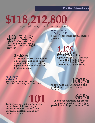#### **By the Numbers**

**\$118,212,800** *in free legal services provided to Tennesseans in need*

49.54% hours of **of Tennessee Attorneys** 

**provided pro bono legal services**

### **23.63%**

**of Tennesee Attorneys made a monetary donation to an organization that provides legal services to persons of limited means**

591,064 **hours of pro bono legal services** 

## 4,139 **calls made to the**

calls made to the<br>HELP4TN helpline, **representing a 7% increase from 2015. The helpline reached callers in 91 of Tennessee's 95 counties.**

### **72.77**

**average number of hours donated per year, per attorney of law schools report pro bono** 

## **100%**

**work done by students and faculty.**

**of bar associations report that 66%** Tennessee law firms employing at least a quarter of members participated in pro bono in 2016.

## **101**

**more than 1,000 attorneys reported that 71.01% of their attorneys participated in pro bono activities**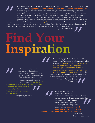It is not hard to convince Tennessee attorneys to volunteer in our initiatives once they are reminded of the obvious. **The people who need our help are those most at risk and most underserved**  in our society: children, victims of domestic violence, the elderly, the physically or mentally challenged, veterans, those who do not speak or understand our language, and others who have no place else to turn when they are facing critical legal problems. The problems faced by these persons affect the most critical aspects of their lives — income, employment, adequate housing, personal safety, access to health care, custody of children, sometimes even life itself — the most

basic guarantees in a land of plenty. **If we do not help them, no one else can.** We are part of a profession which imposes on us the responsibility to help others as a condition of enjoying the privilege of our right to practice law. Giving back can change the life of another person or family. How can we not want to help? *AA* "

—Justice Cornelia Clark

# $\frac{1}{\sqrt{\frac{1}{1+\epsilon^2}}}$ **Find Your Inspiration**

I strongly encourage every new lawyer to do pro bono work through an appointment or by participating in a free legal clinic. I assure the lawyer that he or she will get more out of the service than the client. **To see the relief on a client's face, or to hear that restored voice** 

**of hope on the phone when you successfully help a pro bono client, is something that stays with you forever.** *II* 

— Chief Justice Jeff Bivins **"** 

Representing a pro bono client will provide a sense of satisfaction that no other representation will provide. **It is the occasion when lawyers can feel that they have accomplished something for someone that neither the client, nor anyone else who is not a lawyer, could accomplish for that person.** If the first timer is concerned about the time commitment, try participating in a free legal advice clinic first.

— Bill Coley, Access to Justice

ess to Justice<br>Commission<br>gement<br>d and<br>cried tears of relief over I was at an expungement clinic this weekend and watched as a lady cried tears of relief over getting her record cleaned up, explaining that she was applying for schools and this had been holding her back. An expungement is simple legal paperwork, but **it meant so much more than just the papers to this II** "

**person. It meant a new story and a changed future.**

 — Kimi deMent, Pro Bono Coordinator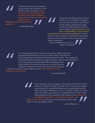

I was always amazed at how appreciative the clients were. We all have to bill clients to make a living, but **I expect that someone who regularly takes pro bono cases will be rewarded many times over by the tremendous gratification of**  "

**helping others less fortunate than themselves.**

— Justice Roger Page

The greatest fear about pro bono work is whether or not we will know enough to assist the potential clients. I have learned that the support groups always supply us with the needed information and are there as backup. **As professionals we do have a responsibility to "pay forward"** 

**our good fortune in our chosen profession.** To help those who have not been as fortunate does reap benefits for those who are assisted as well as those who assist. I highly recommend it.  $\int\int\int$ 

— Mary Jo Middlebrooks, Access to Justice Commission



At a Saturday Legal Clinic, I assisted a woman whose elderly mother was being financially exploited by her son, my client's brother. My client had little education but was passionate about protecting her mother. At my urging, she contacted Adult Protective Services, with little success. After my client described to me her frustrating conversation with APS, I called them on my client's behalf, and my client's mother was soon safe. From that experience, I learned how hard it is for those without education "

"

or financial resources to get the help they deserve. **One call from a lawyer changed two lives forever.** 

— Justice Holly Kirby

A few years ago, I was at the grocery store and the cashier said "I want to thank you." I asked "for what?" She said "about 15 years ago you helped me get custody of my grandchild and now she is graduating from high school You made a difference in our lives." I did not recall the case or the client. Very likely it was pro bono. I was gratified that I was able to help these people just in the normal day-to-day practice of law. **Lawyers are incredibly blessed with an extraordinary education and**  " *<u>setting</u>* 

**ability to help others.** In the process of providing your time to help others, you are also helping yourself.

— Justice Sharon Lee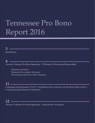## Tennessee Pro Bono Report 2016

#### 3 Introduction

#### 4

Attorney Voluntary Pro Bono Reporting – TN Board of Professional Responsibility

Tennessee Attorneys Tennessee Government Attorneys All Attorneys and Out-of-State Attorneys

#### $11 -$

Continuing Legal Education ("CLE") Credit Received by Attorneys for Pro Bono Work in 2016 – Continuing Legal Education Commission

#### 12

Attorney Voluntary Pro Bono Reporting – American Bar Association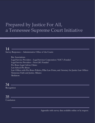## Prepared by Justice For All, a Tennessee Supreme Court Initiative

#### 14

Survey Responses – Administrative Office of the Courts

Bar Associations Legal Service Providers – Legal Services Corporation ("LSC")-Funded Legal Service Providers – Non-LSC-Funded Pro Bono Legal Advice Clinics Law School Pro Bono Law Offices with Pro Bono Policies, Pillar Law Firms, and Attorney for Justice Law Offices Tennessee Faith and Justice Alliance Mediators

#### $34 -$

**Recognition** 

#### $35 -$ **Conclusion**

Appendix with survey data available online or by request.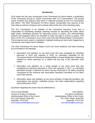#### **Introduction**

2016 marks the five year anniversary of the Tennessee Pro Bono Report, a publication of the Tennessee Access to Justice Commission (the "ATJ Commission"). The annual report compiles and analyzes data which is collected annually by the ATJ Commission and others. The 2016 Tennessee Pro Bono Report incorporates new sources of pro bono data as well as compares and contrasts data trends from prior reporting years.

The ATJ Commission is an initiative of the Tennessee Supreme Court and is responsible for developing strategic planning focused on educating the public about legal needs, identifying priorities for improving access to justice, and recommending projects and programs which are intended to close the gap in access to justice. One focus of the ATJ Commission is pro bono work that aids disadvantaged Tennesseans. The annual pro bono report is intended to highlight existing pro bono work happening in Tennessee, and inspire future initiatives.

The 2016 Tennessee Pro Bono Report covers pro bono initiatives and data including but not limited to the following:

- Information and statistics on pro bono work that was completed by individual attorneys in 2015 and reported in 2016, as voluntarily submitted on the Tennessee Board of Professional Responsibility's Annual Registration Statement required by active attorneys on or before the first day of the attorney's birth month.
- Information and statistics on a small sample of pro bono work that was completed by individual attorneys in 2016 and reported in 2017, as voluntarily submitted through a National Pro Bono Survey conducted in 24 states including Tennessee by the American Bar Association Standing Committee on Pro Bono and Public Service.
- Information about and statistics on pro bono activities of legal aid providers, bar associations, law schools, mediation centers, and other organizations regarding work performed in 2016.

Questions regarding this report may be addressed to:

Anne-Louise Wirthlin **Kimi democratic Contract of Contract Contract Contract Contract Contract Contract Contract Contract Contract Contract Contract Contract Contract Contract Contract Contract Contract Contract Contract C** 

Access to Justice Coordinator **Pro Bono Coordinator** Pro Bono Coordinator Administrative Office of the Courts **Administrative Office of the Courts** 511 Union Street, Suite 600 511 Union Street, Suite 600 Nashville, TN 37219 Nashville, TN 37219 anne.louise.wirthlin@tncourts.gov https://www.fanne.louise.wirthlin@tncourts.gov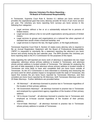#### **Attorney Voluntary Pro Bono Reporting – TN Board of Professional Responsibility**

In Tennessee, Supreme Court Rule 8, Section 6.1 defines pro bono service and provides the aspirational goal that every attorney provide 50 hours of pro bono service per year. The voluntary pro bono reporting form surveys pro bono service in the following four categories:

- Legal services without a fee or at a substantially reduced fee to persons of limited means;
- Legal services without a fee to non-profit organizations serving persons of limited means;
- Legal services to groups and organizations at a reduced fee when payment of standard fees would create a financial hardship; and
- Legal services to improve the law, the legal system, or the legal profession.

Tennessee Supreme Court Rule 9, Section 10 states every attorney who is required to file an Annual Registration Statement with the Board of Professional Responsibility ("BPR") is requested to voluntarily file a statement reporting the attorney's pro bono service and activity during the last calendar year. The BPR provides this voluntary pro bono reporting data to the ATJ Commission for the purposes of this report.

Data regarding the self-reported pro bono work of attorneys is separated into two major categories: attorneys whose primary address is located in Tennessee, and attorneys whose primary address is located outside of Tennessee. The rationale for analyzing the two sets of data separately is that attorneys whose primary address is located outside of Tennessee are more likely to have also completed their pro bono hours outside of Tennessee. As the ATJ Commission is most interested in reviewing and measuring the pro bono work for which positive impact is recognized *inside* the state of Tennessee, this report first reviews the pro bono hours reported by Tennessee Attorneys, and then considers pro bono hours reported by All Attorneys, both Tennessee Attorneys and Out-Of-State Attorneys. Further definitions are provided below.

- *"*All Attorneys" all attorneys licensed to practice law in Tennessee regardless of the location of their primary address.
- "All Government Attorneys" all attorneys licensed to practice law in Tennessee and employed by a government agency regardless of the location of their primary address.
- "All In-House Counsel" all attorneys licensed to practice law in Tennessee and employed as in-house counsel regardless of the location of their primary address.
- "Out-of-State Attorneys" all attorneys licensed to practice law in Tennessee whose primary address is outside of Tennessee.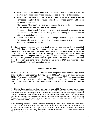- "Out-of-State Government Attorneys" all government attorneys licensed to practice law in Tennessee whose primary address is outside of Tennessee.
- "Out-of-State In-House Counsel" all attorneys licensed to practice law in Tennessee, employed as in-house counsel, and whose primary address is outside of Tennessee.
- "Tennessee Attorneys" all attorneys licensed to practice law in Tennessee whose primary address is located in Tennessee.
- "Tennessee Government Attorneys" all attorneys licensed to practice law in Tennessee who are also employed by a government agency and whose primary address is located in Tennessee.
- "Tennessee In-House Counsel" all attorneys licensed to practice law in Tennessee who are also employed as in-house counsel and whose primary address is located in Tennessee.

Due to the annual registration reporting timeline for individual attorney hours submitted to the BPR, data is collected for the prior year over the course of any given year, and made available at the end of the year. This means that pro bono work performed in 2015 is reported to the BPR in 2016, Accordingly, for the purposes of this report, the data is labeled to correspond with the year the pro bono work was reported ("Reporting Year"), not the year the pro bono work was performed. Therefore, the 2016 Pro Bono Report considers pro bono work performed by attorneys in 2015 and reported to the BPR during the 20[1](#page-9-0)6 annual registration period.<sup>1</sup>

#### **Tennessee Attorneys**

In 2016, 49.54% of Tennessee Attorneys who completed their Annual Registration Statement for the year reported that they provided 591,064 hours of pro bono service in [2](#page-9-1)015. <sup>2</sup> This meant that 8,122 Tennessee Attorneys averaged 72.77 hours per reporting attorney. Assuming an average billing rate of \$200 per hour, this amounts to more than one hundred million dollars of pro bono services provided by Tennessee Attorneys in 2016.

<span id="page-9-0"></span> $<sup>1</sup>$  In 2012, the Tennessee Supreme Court approved a change in BPR Registration procedures to require</sup> renewals on the first day of each attorney's birth month. Under this new procedure, pro bono reporting data for the previous calendar year is not available until all reporting for that calendar year has been received. The ATJ Commission has acquired pro bono reporting data for pro bono work reported in seven calendar years, 2010 to 2016. However, due to the changes in reporting requirements in 2012, this report focuses only on making comparisons for the reporting years where attorneys renewed with the BPR based on their birth month, 2012 to 2016.

<span id="page-9-1"></span> $2$  This report only considers Tennessee Attorneys who completed their Annual Registration Statement by or before December 31st, 2016. It does not consider Tennessee Attorneys who failed to complete their Annual Registration Statement by or before December 31st, 2016. Accordingly, there may be additional Tennessee Attorneys who did not file their Annual Registration Statement by or before December 31st, 2016, whose information is not included in this report.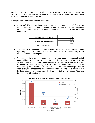In addition to providing pro bono services, 23.63%, or 3,875, of Tennessee Attorneys reported voluntary contributions of financial support to organizations providing legal services to persons of limited means.

Highlights from Tennessee Attorneys include:

• Nearly half of Tennessee Attorneys reported pro bono hours and half of attorneys did not report pro bono hours. The number and percentage of active Tennessee attorneys who reported and declined to report pro bono hours is set out in the chart below.

|                                               | 8.122   |
|-----------------------------------------------|---------|
| <b>Active TN Attorneys who did Report</b>     | 49.54%  |
|                                               | 8,273   |
| <b>Active TN Attorneys who did not Report</b> | 51.46%  |
|                                               | 16,395  |
| <b>Total TN Active Attorneys</b>              | 100.00% |

- 2016 reflects an increase of approximately 8% of Tennessee Attorneys who reported pro bono from the prior year, and an increase of approximately 4% of hours performed from the prior year.
- The vast majority of pro bono hours provided were provided to persons of limited means without a fee or at a reduced fee. Specifically, in 2016, 6,740 attorneys provided 408,939 hours of pro bono services to persons of limited means which, assuming an average billing rate of \$200 per hour, would amount to approximately \$81,787,800.00 of free or reduced fee legal services provided to disadvantaged Tennesseans by Tennessee Attorneys. The table below shows the breakdown of pro bono hours by type reported by Tennessee Attorneys during the 2016 Reporting Year.

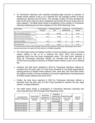• Of Tennessee Attorneys who reported providing legal services to persons of limited means without a fee or at a reduced fee, the average number of hours reported per attorney was 60 hours. The average number of hours provided for each of the other major pro bono categories was around 30 hours of pro bono for each category. The table below shows a breakdown of the number of Tennessee Attorneys reporting per pro bono category for the 2016 Reporting Year:

| <b>Pro Bono Category</b>                             | <b>Number of Attorneys</b> | <b>Total Number of Reported</b> | Average Hours per         | <b>Percent of Total Hours</b> |
|------------------------------------------------------|----------------------------|---------------------------------|---------------------------|-------------------------------|
|                                                      | Reporting*                 | <b>Hours</b>                    | <b>Reporting Attorney</b> | Reported                      |
| Legal services to persons of limited means without   |                            |                                 |                           |                               |
| a fee or at a substantially reduced fee              | 6.740                      | 408,939                         | 60                        | 69.18%                        |
| Legal services to non-profit organizations serving   |                            |                                 |                           |                               |
| persons of limited means without a fee               | 2,853                      | 83,528                          | 29                        | 14.13%                        |
| Legal services to groups and organizations at a      |                            |                                 |                           |                               |
| reduced fee when payment of standard fees would      |                            |                                 |                           |                               |
| create a financial hardship                          | 1,052                      | 36,960                          | 35                        | 6.25%                         |
| Legal services to improve the law, the legal system, |                            |                                 |                           |                               |
| or the legal profession                              | 1.774                      | 61,637                          | 34                        | 10.42%                        |

\*The total of this column will be greater than the total number of attorneys reporting pro bono work because attorneys can report pro bono service in multiple categories.

- The 2016 data marks the highest number of hours provided to persons of limited means without a fee or at a reduced fee since 2012, and reverses a declining trend from the three subsequent years. The total hours reported in 2016 by Tennessee Attorneys reflects an increase from the prior year of 22,930 hours provided to persons of limited means without a fee or at a reduced fee.
- Likewise, the total hours reported in 2016 by Tennessee Attorneys reflects an increase from the prior year of 4,414 hours provided to non-profit organizations serving persons of limited means without a fee. Here also, the 2016 data marks the highest number of hours provided to non-profit organizations serving persons of limited means without a fee since 2012.
- Finally, the total hours reported in 2016 by Tennessee Attorneys reflects a decrease from the prior year of 5,527 hours provided to improve the law, legal system, or legal profession.
- The table below shows a comparison of Tennessee Attorneys reporting and hours reported from 2012 through 2016 Reporting Years:

| Hours Reported by TN<br><b>Attorneys Per Reporting Year</b> | <b>Persons of limited</b><br>means w/o fee or<br>reduced fee | Non-profit orgs<br>serving persons of<br>limited means w/o<br>fee | Groups/orgs at<br>reduced fee when<br>payment of standard<br>fees would create<br>financial hardship | Improve the law, legal<br>system, or legal<br>profession | <b>Total for All</b><br><b>Categories</b> |
|-------------------------------------------------------------|--------------------------------------------------------------|-------------------------------------------------------------------|------------------------------------------------------------------------------------------------------|----------------------------------------------------------|-------------------------------------------|
| 2012 Total Hours Reported                                   | 462,939                                                      | 103.970                                                           | 50.787                                                                                               | 72.149                                                   | 689,845                                   |
| 2013 Total Hours Reported                                   | 407,486                                                      | 74.478                                                            | 35.521                                                                                               | 58.275                                                   | 575,760                                   |
| 2014 Total Hours Reported                                   | 396,239                                                      | 78.619                                                            | 37.717                                                                                               | 66.069                                                   | 578,644                                   |
| 2015 Total Hours Reported                                   | 386,009                                                      | 79.114                                                            | 35,883                                                                                               | 67,164                                                   | 568,170                                   |
| 2016 Total Hours Reported                                   | 408,939                                                      | 83,528                                                            | 36,960                                                                                               | 61,637                                                   | 591,064                                   |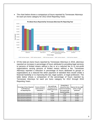

• The chart below shows a comparison of hours reported by Tennessee Attorneys for each pro bono category for 2012-2016 Reporting Years.

• Of the total pro bono hours reported by Tennessee Attorneys in 2016, attorneys reported an increase in percentage of hours attributed to providing legal services to persons of limited means without a fee or at a reduced fee or to non-profit organizations serving persons of limited means without a fee. Tennessee Attorneys reported a reduction in percentage of hours attributed to groups or organizations at a reduced fee when payment of standard fees would create a financial hardship or to improving the law, legal system, or legal profession. The table below shows a comparison of the percentage of hours reported by Tennessee Attorneys for each pro bono category for 2012 through 2016 Reporting Years.

| Percentage of Hours Reported<br>by TN Attorneys<br><b>Per Reporting Year</b> | <b>Persons of limited</b><br>means w/o fee or<br>reduced fee | Non-profit orgs<br>serving persons of<br>limited means w/o<br>fee | Groups/orgs at<br>reduced fee when<br>payment of standard<br>fees would create<br>financial hardship | Improve the law, legal<br>system, or legal<br>profession |
|------------------------------------------------------------------------------|--------------------------------------------------------------|-------------------------------------------------------------------|------------------------------------------------------------------------------------------------------|----------------------------------------------------------|
| 2012 Total Hours Reported                                                    | 67.11%                                                       | 15.07%                                                            | 7.36%                                                                                                | 10.46%                                                   |
| 2013 Total Hours Reported                                                    | 70.77%                                                       | 12.94%                                                            | 6.17%                                                                                                | 10.12%                                                   |
| 2014 Total Hours Reported                                                    | 68.48%                                                       | 13.59%                                                            | 6.52%                                                                                                | 11.42%                                                   |
| 2015 Total Hours Reported                                                    | 67.94%                                                       | 13.92%                                                            | 6.32%                                                                                                | 11.82%                                                   |
| 2016 Total Hours Reported                                                    | 69.18%                                                       | 14.13%                                                            | 6.25%                                                                                                | 10.42%                                                   |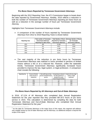#### **Pro Bono Hours Reported by Tennessee Government Attorneys**

Beginning with the 2012 Reporting Year, the ATJ Commission began to break down the data reported by Government Attorneys. Notably, 2016 reflects a reduction in both the number of Tennessee Government Attorneys reporting pro bono hours as well as a reduction in the average number of hours per Tennessee Government Attorney.

Highlights from Tennessee Government Attorneys include:

• A comparison of the number of hours reported by Tennessee Government Attorneys from 2012 to 2016 Reporting Years is shown below:

| <b>Reporting Year</b> | <b>Total number of Tennessee</b><br><b>Government Attorneys</b><br><b>Reporting Pro Bono Hours</b> | <b>Total Number of Hours</b><br><b>Reported by Tennessee</b><br><b>Government Attorneys</b> | <b>Average Number of Hours</b><br>per Tennessee<br><b>Government Attorney</b> |
|-----------------------|----------------------------------------------------------------------------------------------------|---------------------------------------------------------------------------------------------|-------------------------------------------------------------------------------|
| 2012                  | 269                                                                                                | 12.446                                                                                      | 46.27                                                                         |
| 2013                  | 241                                                                                                | 9.557                                                                                       | 39.66                                                                         |
| 2014                  | 236                                                                                                | 11.896                                                                                      | 50.41                                                                         |
| 2015                  | 237                                                                                                | 12.284                                                                                      | 51.83                                                                         |
| 2016                  | 210                                                                                                | 9.571                                                                                       | 45.57                                                                         |

The vast majority of the reduction in pro bono hours by Tennessee Government Attorneys was realized in hours provided to persons of limited means without a fee or at a reduced fee. However, unlike the statewide trends, Tennessee Government Attorneys significantly increased hours provided to improve the law, legal system, or legal profession. A comparison chart reveals the following:

| <b>Reporting Year</b> | <b>Persons of limited</b><br>means w/o fee or<br>reduced fee | Non-profit orgs serving<br>persons of limited means<br>w/o fee | Groups/orgs at reduced<br>fee when payment of<br>standard fees would<br>create financial hardship | Improve the law, legal<br>system, or legal<br>profession |
|-----------------------|--------------------------------------------------------------|----------------------------------------------------------------|---------------------------------------------------------------------------------------------------|----------------------------------------------------------|
| 2013                  | 3045                                                         | 2254                                                           | 175                                                                                               | 3723                                                     |
| 2014                  | 5038                                                         | 1447                                                           | 805                                                                                               | 4606                                                     |
| 2015                  | 6406                                                         | 1816                                                           | 156                                                                                               | 3906                                                     |
| 2016                  | 3452                                                         | 1347                                                           | 181                                                                                               | 4591                                                     |

#### **Pro Bono Hours Reported by All Attorneys and Out-of-State Attorneys**

In 2016, 47.11% of All Attorneys who completed their Annual Registration Statement for the year reported that they provided 687,872 hours of pro bono service in 2015. This calculation is determined by compiling the data for both Tennessee Attorneys and Out-of-State Attorneys who completed their Annual Registration Statement for the year.<sup>[3](#page-13-0)</sup>

<span id="page-13-0"></span> $3$  As the data for Tennessee Attorneys is the major focus of this report, this segment will address only notable trends by Out-of-State Attorneys and All Attorneys, as additional analysis is beyond the scope of this report.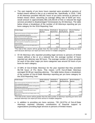The vast majority of pro bono hours reported were provided to persons of limited means without a fee or at a reduced fee. Specifically, in 2016, 7,845 of All Attorneys provided 460,641 hours of pro bono services to persons of limited means which, assuming an average billing rate of \$200 per hour, would amount to approximately \$92,128,200.00 of free or reduced fee legal services provided to disadvantaged Tennesseans by All Attorneys. The table below shows a breakdown of the number of All Attorneys reporting per pro bono category for the 2016 Reporting Year:

| <b>Pro Bono Category</b>                                | <b>Number of Attorneys</b> | <b>Total Number of</b> | Average Hours per         | <b>Percent of Total Hours</b> |
|---------------------------------------------------------|----------------------------|------------------------|---------------------------|-------------------------------|
|                                                         | Reporting*                 | <b>Reported Hours</b>  | <b>Reporting Attorney</b> | Reported                      |
| Legal services to persons of limited means without a    |                            |                        |                           |                               |
| fee or at a substantially reduced fee                   | 7.845                      | 460.641                | 58                        | 66.96%                        |
| Legal services to non-profit organizations serving      |                            |                        |                           |                               |
| persons of limited means without a fee                  | 3,429                      | 108,276                | 31                        | 15.74%                        |
| Legal services to groups and organizations at a reduced |                            |                        |                           |                               |
| fee when payment of standard fees would create a        |                            |                        |                           |                               |
| financial hardship                                      | 1,231                      | 45,035                 | 36                        | 6.54%                         |
| Legal services to improve the law, the legal system, or |                            |                        |                           |                               |
| the legal profession                                    | 2,114                      | 73,911                 | 34                        | 10.74%                        |

\*The total of this column will be greater than the total number of attorneys reporting pro bono work because attorneys can report pro bono service in multiple categories.

- Of All Attorneys who reported providing legal services to persons of limited means without a fee or at a reduced fee, the average number of hours reported per attorney was 58 hours. The average number of hours provided for each of the other major pro bono categories was around 30 hours of pro bono for each category.
- 37.08% of Out-of-State Attorneys for the year reported that they provided 96,748 hours of Pro Bono. This means 1,476 Out-of-State Attorneys averaged 65.98 per reporting attorney. The table below shows a breakdown of the number of Out-of-State Attorneys reporting per pro bono category for the 2016 Reporting Year:

| <b>Pro Bono Category</b>                                    | <b>Number of Attorneys</b> | Total Number of       | Average Hours per         | <b>Percent of Total Hours</b> |
|-------------------------------------------------------------|----------------------------|-----------------------|---------------------------|-------------------------------|
|                                                             | Reporting*                 | <b>Reported Hours</b> | <b>Reporting Attorney</b> | Reported                      |
| Legal services to persons of limited means without a fee    |                            |                       |                           |                               |
| or at a substantially reduced fee                           | 1.105                      | 51702                 | 46                        | 53.41%                        |
| Legal services to non-profit organizations serving persons  |                            |                       |                           |                               |
| of limited means without a fee                              | 576                        | 24748                 | 42                        | 25.56%                        |
| Legal services to groups and organizations at a reduced     |                            |                       |                           |                               |
| fee when payment of standard fees would create a            |                            |                       |                           |                               |
| financial hardship                                          | 179                        | 8075                  | 45                        | 8.34%                         |
| Legal services to improve the law, the legal system, or the |                            |                       |                           |                               |
| legal profession                                            | 340                        | 12274                 | 36                        | 12.67%                        |

\*The total of this column will be greater than the total number of attorneys reporting pro bono work because attorneys can report pro bono service in multiple categories.

• In addition to providing pro bono services, 735 (18.57%) of Out-of-State Attorneys reported voluntary contributions of financial support to organizations providing legal services to persons of limited means.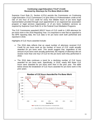#### **Continuing Legal Education ("CLE") Credit Received by Attorneys for Pro Bono Work in 2016**

Supreme Court Rule 21, Section 4.07(c) permits the Commission on Continuing Legal Education ("CLE Commission") to give Ethics & Professionalism credit at the rate of one hour of CLE credit for every five billable hours of pro bono legal representation provided through court appointment or an organized bar association program or legal services organization, or of pro bono mediation services as required by Supreme Court Rule 31 or the Federal Court Mediation Programs.

The CLE Commission awarded1,928.57 hours of CLE credit to 1,928 attorneys for pro bono work in the 2016 Reporting Year. It is important to note that as opposed to the BPR reporting data, the CLE data is for pro bono work both performed and reported in 2016.

Highlights of CLE Hours awarded include:

- The 2016 data reflects that an equal number of attorneys received CLE Credit for pro bono work as the number of hours of CLE credit actually awarded for pro bono work. This would suggest that, regardless of the amount of pro bono work actually performed, the majority of attorneys did not receive more than one hour of CLE for the pro bono work they performed in 2016.
- The 2016 data continues a trend for a declining number of CLE hours awarded for pro bono work. Specifically, in 2016, nearly 900 fewer CLE hours were awarded for pro bono work than in the prior year. The table below shows the breakdown of CLE hours awarded for pro bono work in the prior years:

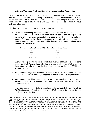#### **Attorney Voluntary Pro Bono Reporting – American Bar Association**

In 2017, the American Bar Association Standing Committee on Pro Bono and Public Service conducted a web-based survey of national pro bono participation in 2016. 24 states participated in this survey, including Tennessee. The sample of surveys from Tennessee amounted to 240 attorneys, with 238 of the responses being from attorneys with active licenses. $4$ 

Highlights from the American Bar Association Survey report include:

• 70.2% of responding attorneys indicated they provided pro bono service in 2016. The table below shows the breakdown of percentage of respondents reporting pro bono hours completed in excess of one hour for four different ranges. The sum total of these percentages yields 66% of the total, meaning that 4.2% percent of attorneys reported having completed some pro bono work that equaled less than one hour.

| Number of Pro Bono Hours in 2016 | <b>Percentage of Respondents</b> |
|----------------------------------|----------------------------------|
| 1 to 19                          | 16%                              |
| 20 to 49                         | 23.80%                           |
| 50 to 79                         | 7%                               |
| 80 or more                       | 19.50%                           |

- Overall, the responding attorneys provided an average of 53.1 hours of pro bono service in 2016. Among those who had provided pro bono in 2016 (excluding those attorneys who reported having completed no pro bono in 2016), the average was 75.5 hours.
- Among the attorneys who provided pro bono in 2016, 91.6% reported providing services to individuals, and 39.3% reported providing services to organizations.
- 39% reported providing only limited scope representation, 21.4% reported providing only full scope representation, and 39% provided both full and limited scope representation.
- The most frequently reported pro bono legal tasks consisted of providing advice (73.3%), interviewing/meeting with the client (67.3%), and reviewing and drafting legal documents (56.1%).

<span id="page-16-0"></span> $4$  As Tennessee does not have a mandatory pro bono reporting requirement, the most reliable data regarding the pro bono completed by individual attorneys in Tennessee any given year comes from the BPR Annual Reporting data collected through the annual licensing renewal process, a process required of all active attorneys. The American Bar Association Survey data presents a smaller sample of pro bono work completed in 2016. This sample size of 240 is notably smaller than the BPR sample size of more than more than 16,000; however, the data collected remains valuable for considering potential and projected trends for the following reporting year, for the purposes of national comparison, and for analyzing self-reported data trends on a smaller scale.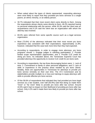- When asked about the types of clients represented, responding attorneys were most likely to report that they provided pro bono services to a single parent, an ethnic minority, or an elderly person.
- 30.7% indicated that their most recent client came directly to them. Among the respondents whose clients came directly to them, 46.2% reported having no personal relationship with the person, while 30.3% said the client was an acquaintance and 9.1% said the client was an organization with whom the attorney was involved.
- 69.3% were referred from some specific source such as a legal services organization.
- Most (73.6%) of the attorneys indicated that their most recent pro bono experience was consistent with their expectations. Approximately 21.8%, however, indicated that the case took more time than they had expected.
- According to respondents, in order to engage more attorneys, pro bono programs should: 1. Engage judges in soliciting participation; 2. Provide limited scope representation opportunities; and 3. Provide CLE credit for doing pro bono. As indicated above, the Tennessee Supreme Court has provided attorneys the opportunity to receive CLE credit for pro bono work.
- According to respondents, the top three discouraging factors were: 1. Lack of time; 2. Commitment to family or other personal obligations; and 3. Lack of skills or experience in the practice areas needed by pro bono clients. Notably, there are opportunities in Tennessee for attorneys to provide pro bono service remotely on their own time. The ATJ Commission and its stakeholders provide multiple no or low-cost trainings to equip attorneys with skills to provide effective pro bono service.
- Of the 58.6% of respondents that indicated they had provided pro bono legal services as a law student, over half (50.9%) said that doing so made them "more" or "far more" likely to provide pro bono after law school. Around 44.9% said it had no impact on their likelihood of providing pro bono after law school. Only 4.2% said it made them less likely to provide pro bono after law school.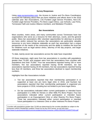#### **Survey Responses**

Using [www.surveymonkey.com,](http://www.surveymonkey.com/) the Access to Justice and Pro Bono Coordinators surveyed the following about their pro bono initiatives and efforts done in the 2016 calendar year: Bar Associations, LSC-Funded Legal Service Providers, Non-LSC Funded Legal Service Providers, Pro Bono Legal Clinics, Law Schools, Law Firms, Tennessee Faith and Justice Alliance members, and Mediation Providers.

#### **Bar Associations**

Most counties, metro areas, and many communities across Tennessee have bar organizations who serve as a resource for their attorneys, courts, and the general public. Many bar associations offer volunteer opportunities for attorneys to provide pro bono and/or reduced fee services. Bar associations are particularly valuable resources to pro bono initiatives statewide as each bar association has a unique perspective on the needs of the community and the ability to mobilize the local bar for initiatives such as legal advice clinics, attorney of the day projects, and larger statewide initiatives.

To date, twenty-seven bar associations across the state have responded.

Of those responses, eight were from bar associations in counties with populations greater than 75,000, and nineteen were from bar associations from counties with populations less than  $75,000$  $75,000$  $75,000$ .<sup>5</sup> Four bar associations reported having 100 or more members, five bar associations reported having 50-99 members, ten bar associations reported having 20-49 members, five bar associations reported having less than 20 members, and three bar associations declined to report membership numbers.

Highlights from Bar Associations include:

- Ten bar associations reported that their membership participated in or supported at least one pro bono legal clinic in 2016, and fourteen bar associations reported that their membership participated in organized pro bono projects in 2016, including but not limited to pro bono legal clinics.
- Six bar associations indicated either current participation or intended future participation in a Wills for Heroes or other Wills Pro Bono Project. Four bar associations indicated either current participation or intended future participation in an Expungement Clinic or other Reentry Pro Bono Project. Three bar associations indicated either current participation or intended future participation in a Veterans Clinic or other Veterans Pro Bono Project.

<span id="page-18-0"></span> $5$  Counties with populations greater than 75,000 are determined by the counties identified as subject to the Tennessee Uniform Residential Landlord Tenant Act by the 2010 census, as set forth here: <https://www.tn.gov/assets/entities/commerce/attachments/Consumer-LANDLORDANDTENANTFAQs.pdf>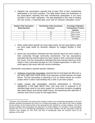• Eighteen bar associations reported that at least 25% of their membership participated in pro bono activities. The table below shows the breakdown of bar associations reporting that their membership participates in pro bono activities in four major categories. The data displayed on this chart is divided into two counts, a reporting data count and an inclusive calculation count. [6](#page-19-0)

| <b>Number of Bar Associations</b><br>(Reporting Data) | <b>Total Number of Bar Associations</b><br>(Inclusive) | <b>Percentage of Members</b><br><b>Participating in Pro Bono</b><br><b>Activities</b> |
|-------------------------------------------------------|--------------------------------------------------------|---------------------------------------------------------------------------------------|
|                                                       | 18                                                     | 25% or more                                                                           |
|                                                       | 14                                                     | 50% or more                                                                           |
|                                                       |                                                        | 75% or more                                                                           |
|                                                       |                                                        | 99-100%                                                                               |

- When asked about specific pro bono legal needs, ten bar associations noted pro bono legal needs for domestic relations for indigent families in their county.
- Seven bar associations indicated that they learned about pro bono needs in their community through community involvement. Five bar associations indicated that they learned about pro bono needs in their community through the courts. Five bar associations indicated that they learned about pro bono needs in their community through an LSC-Funded organization or other nonprofit agency that works with low income individuals.

Several Bar Associations reported specific initiatives:

- Anderson County Bar Association reported that its local legal aid office has a pro bono night each month where local attorneys provide general civil legal advice. The bar association is planning a CLE on reentry issues as a future project which it notes could develop into a clinic or pro bono project.
- Carter County Bar Association reported participating in Recovery Appalachia, a free legal advice clinic, and drug court in response to an identified legal need for pro bono support for community members struggling with opioid abuse and mental health issues, and partnering with attorneys in Johnson and Unicoi County for free legal clinics.

<span id="page-19-0"></span> $6$  Because a bar association who reports that a greater number of its membership participates in pro bono activities naturally encompasses the metric for a smaller percentage as well, data for this chart is divided into two groups: (1) the actual number of bar associations who reported in a certain category, and (2) the inclusive number of bar associations who reported in a certain category. For example, if a bar association reported that 75% of its membership participated in pro bono activities, the bar association would be counted in the category for 75%, 50%, and 25% of membership under the inclusive metric for the purposes of this chart.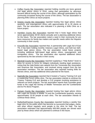- Coffee County Bar Association reported holding monthly pro bono general civil legal advice clinics in 2016, noting that participation by attorneys became difficult during the course of the clinics, although participation by the community increased during the course of the clinics. The bar association is planning Wills Clinics as future projects.
- Greene County Bar Association reported hosting free legal advice clinics quarterly, and expungement clinics with approximately 20 to 30 clients at each. The bar association also indicated it is planning a Wills Clinic as a future project.
- Hamblen County Bar Association reported that it hosts legal clinics that serve approximately 30-50 clients annually and is planning additional clinics for the future. The bar association noted a need in their community for pro bono resources for family law matters and specific needs within the Hispanic community in their county.
- Knoxville Bar Association reported that, in partnership with Legal Aid of East TN, it has been holding monthly Veterans Legal Clinics, and held two faithbased legal advice clinics. The bar association noted future projects including additional faith-based legal advice clinics, expungement, and immigration clinics. The bar association also reported additional clinics sponsored by the law schools in their county.
- Marshall County Bar Association reported supplying a "Help Button" kiosk to allow for access to forms for indigent individuals needing legal assistance, noting that the Help Button won awards from the Tennessee Bar Association and American Bar Association, and received strong support from the bar association members. The bar association also reported hosting Wills for Heroes clinics, and has additional clinics planned for the future.
- Nashville Bar Association reported that it hosted a Truancy Training CLE and a Leadership Forum online clinic. The bar association intends to continue the Truancy Training CLE and develop a CLE program involving assistance to veterans as future projects. The bar association reports that it provides grant funds to the Legal Aid Society of Middle Tennessee and the Cumberlands and its Pro Bono Program.
- Putnam County Bar Association reported hosting free legal advice clinics with Legal Aid Society of Middle TN and the Cumberlands quarterly, serving approximately 15-30 people at each clinic. The bar association intends to continue these clinics.
- Rutherford/Cannon County Bar Association reported hosting a weekly free legal clinic for the public which has become so successful that judges, clerks, and other offices regularly send people to the clinic for help. The bar association estimates that approximately 600-900 people are served each year by these clinics which are planned to continue in the future.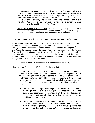- Tipton County Bar Association reported sponsoring a free legal clinic every other month in partnership with Memphis Area Legal Services, as well as a Wills for Heroes project. The bar association reported using social media, flyers, and word of mouth to advertise the clinic, and estimates that 200 people are served annually by these clinics which are planned to continue in the future. Additional planned future projects include an expungement clinic and an event at the local Boys and Girls Club.
- Williamson County Bar Association reported hosting local pro bono clinics and Wills for Heroes projects, and notes intended Legal Aid Society of Middle TN and the Cumberlands participation as future projects.

#### **Legal Service Providers – Legal Services Corporation ("LSC")-Funded**

In Tennessee, there are four legal aid providers that receive federal funding from the Legal Services Corporation ("LSC"): Legal Aid of East Tennessee, Legal Aid Society of Middle Tennessee and the Cumberlands, Memphis Area Legal Services, and West Tennessee Legal Services. There is one additional LSC-Funded Provider, Southern Migrant Legal Services, which serves Tennessee as well as other states in the South. Legal Service Providers play an integral role in providing access to justice in the state and in matching pro bono clients with attorneys through their staff and pro bono networks.

All LSC-Funded Providers in Tennessee have responded to the survey.

Highlights from Tennessee LSC-Funded Providers include:

- Legal Aid of East Tennessee (LAET): LAET employs 60 staff members and reported 594 pro bono volunteer attorneys for 2016. Together, LAET employees and pro bono volunteer attorneys served 5221 clients in 2016. 875 of those clients were served through pro bono programs. Services were provided with a focus on legal issues that included housing, health and benefits, family and children, consumer protection, civil rights, education, and income.
	- o LAET reports that its pro bono program was extremely successful at recruiting volunteer lawyers to take part in a variety of volunteer and clinic-based opportunities throughout 2016. LAET also focused on expanding its network of attorneys willing to accept cases for traditional full representation.
	- o Certain efforts targeted specific issues in the community such as the 2016 wildfires in Sevier County. Additional opportunities came in the form of monthly, quarterly, or annual clinics including specialized topics such as debt-collection, Veteran's issues, health, child support,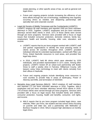estate planning, or other specific areas of law, as well as general civil legal clinics.

- o Future and ongoing projects include increasing the efficiency of pro bono efforts through the use of technology, establishing new regularly occurring clinics as needed, and deepening partnerships with specialty bars and corporate counsel.
- Legal Aid Society of Middle Tennessee and the Cumberlands (LASMTC): LASMTC employs 90 staff members and reported 1500 pro bono volunteer attorneys in 2016. Together, LASMTC employees and pro bono volunteer attorneys served 6625 clients in 2016. 2271 of those clients were served through pro bono programs. Services were provided with a focus on legal issues that included consumer protection, domestic violence, family law, employment, health and benefits, housing, elder care, education, and income.
	- o LASMTC reports that its pro bono program worked with LASMTC staff and partner organizations to identify the most pressing needs of clients across 48 counties throughout 2016. LASMTC provided individual referrals for extended representation, worked with Pillar Law Firms, linked Nashville resources to rural areas, and provided free legal help clinics.
	- o In 2016, LASMTC held 86 clinics which were attended by 1535 individuals, and provided representation in 2271 cases. Among other projects, LASMTC kicked off an urban-rural partnership with Butler Snow to staff a weekly clinic in Fairview, Williamson County, with lawyers using Vidyo technology to meet with clients remotely from their offices in Nashville.
	- o Future and ongoing projects include identifying more resources in rural counties to provide help in areas of bankruptcy, Power of Attorney and Wills, and termination of SSI/SSDI.
- Memphis Area Legal Services (MALS): MALS employs 42 staff members and reported 171 pro bono volunteer attorneys in 2016. Together, MALS employees and pro bono volunteer attorneys served 4014 clients in 2016. 776 of those clients were served through pro bono programs. Services were provided with a focus on legal issues that included family and children, consumer protection, housing, health and benefits, consumer, civil rights, and income.
	- o MALS reports that its pro bono program included legal clinics, case referrals, Pillar Law Firms, law student and law school clinics focusing on juvenile and elder law, and a partnership with Methodist Le Bonheur Hospital in 2016. MALS enjoyed high attendance at monthly legal clinics.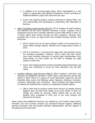- o In addition to its recurring legal clinics, MALS participated in a new project in partnership with Idlewild Presbyterian Church providing an additional Midtown Legal Clinic held twice per year.
- o Future and ongoing projects include continuing to expand Pillar Law Firm partnerships and developing its partnership with Methodist Le Bonheur.
- West Tennessee Legal Services (WTLS): WTLS employs 36 staff members and reported 149 pro bono volunteer attorneys in 2016. Together, WTLS employees and pro bono volunteer attorneys served 2093 clients in 2016. 61 of those clients were served through pro bono programs. Services were provided with a focus on legal issues that included housing, benefits, and family law.
	- o WTLS reports that its pro bono program relied on the private bar to assist clients through specific referrals and at legal advice clinics in 2016.
	- o WTLS is involved in a recurring free legal clinic that primarily serves the homeless population. However, WTLS notes that their clients most need volunteer attorneys to provide legal representation from start-to-finish, as most clients are not able to navigate the legal system on their own.
	- o Future and ongoing projects include expanding legal partnerships and clinics and continuing to recruit pro bono attorneys who will take cases.
- Southern Migrant Legal Services (SMLS): SMLS employs 6 attorneys, and reported one additional volunteer in 2016. SMLS' staff attorneys served 294 clients in 2016. SMLS is a project of Texas RioGrande Legal Aid, and the Nashville office serves the following states: Alabama, Arkansas, Kentucky, Louisiana, Mississippi, and Tennessee. SMLS provides free legal services to migrant and seasonal farm workers on employment-related matters.
	- o SMLS notes that its practice model which focuses on lengthy federal litigation does not lend itself readily to pro bono efforts. It does not charge any clients for services. SMLS reports that no pro bono projects were completed in 2016 and no pro bono projects are planned for the future.

When asked what additional resources are needed by LSC-Funded Legal Service Providers, the most common answers are increased financial support, additional attorney volunteers who will provide extended representation, and the support of the judiciary at the local level.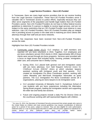#### **Legal Service Providers – Non-LSC-Funded**

In Tennessee, there are many legal service providers that do not receive funding from the Legal Services Corporation. These Non-LSC-Funded Providers serve a valuable role in Tennessee access to justice efforts, especially because they can often serve segments of the population and handle legal matters that LSC-Funded Providers cannot. Non-LSC-Funded Providers do not have to follow federal income guidelines to determine if a person is eligible to receive legal services, and are not subject to the same restrictions that an LSC-Funded Provider must observe in case selection. Like LSC-Funded Providers, Non-LSC-Funded Providers play an integral role in providing access to justice in the state and in matching pro bono clients with attorneys through their staff and pro bono networks.

To date, five responses have been received from Non-LSC-Funded Providers across the state.

Highlights from Non-LSC-Funded Providers include:

- Community Legal Center (CLC): CLC employs 11 staff members and reported 107 pro bono volunteers in 2016. Together, CLC employees and pro bono volunteers served 2313 clients in 2016. Approximately 485 of those clients were served through pro bono programs. Services were provided with a focus on legal issues that included family, housing, probate, immigration, elder care, and consumer law in Shelby County.
	- o During 2016, CLC placed both general civil and immigration cases with pro bono attorneys. CLC held frequent Deferred Action for Childhood Arrivals  $(DACA)^7$  $(DACA)^7$  clinics at which volunteer lawyers assisted, working with immigrant youth and their parents. CLC created an Immigration Pro Bono Coordinator position, working with Latino Memphis and Mid-South Immigration Advocates as grant partners. The CLC Immigration Pro Bono Coordinator serves all 3 organizations, placing pro bono lawyers to do immigration work.
	- o CLC provided University of Memphis Cecil C. Humphreys School of Law students with pro bono experiences including the Alternative Spring Break program, leading the immigration section and supporting the elder law and family law sections.
	- o Future and ongoing projects include a daily Pro Se Divorce Clinic at the courthouse working with self-represented litigants with children.

<span id="page-24-0"></span> $<sup>7</sup>$  On June 15, 2012, the Secretary of Homeland Security announced that certain people who came to</sup> the United States as children and meet several guidelines may request consideration of deferred action for a period of two years, subject to renewal. They are also eligible for work authorization. Deferred action is a use of prosecutorial discretion to defer removal action against an individual for a certain period of time. Deferred action does not provide lawful status. certain period of time. Deferred action does not provide lawful status. [https://www.uscis.gov/archive/consideration-deferred-action-childhood-arrivals-daca.](https://www.uscis.gov/archive/consideration-deferred-action-childhood-arrivals-daca)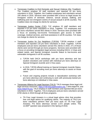- Tennessee Coalition to End Domestic and Sexual Violence (the "Coalition): The Coalition employs 20 staff members and reported 20 pro bono volunteers in 2016. Together, the Coalition employees and volunteers served 100 clients in 2016. Services were provided with a focus on legal issues for immigrant victims of domestic violence, sexual assault, stalking, and trafficking and non-immigrant victims of sexual assault in all 95 counties. The Coalition does not charge its clients for services.
- Tennessee Justice Center (TJC): TJC employs 22 staff members and reported 4-10 pro bono volunteers in 2016. Together, TJC employees and pro bono volunteers served 903 clients in 2016. Services were provided with a focus on assisting low-income Tennesseans gain access to health coverage, medical services, and food assistance in all 95 counties. TJC does not charge its clients for services.
- Tennessee Justice for Our Neighbors (TJFON): TJFON employs 4 staff members and reported 116 pro bono volunteers in 2016. Together, TJFON employees and pro bono volunteers served 451 clients in 2016. 271 of those clients were served through pro bono programs. Services were provided with a focus on providing immigration legal services including DACA, U-Visas and related needs, and Special Immigrant Juvenile Status to low-income and vulnerable immigrants in all 95 counties.
	- o TJFON held DACA workshops with pro bono attorneys and law student volunteers and worked with individual pro bono attorneys on Special Immigrant Juvenile and U-Visa cases.
	- o In 2016, TJFON offered training on Special Immigrant Juvenile Status, with the goal of recruiting more pro bono attorneys to assist on those cases.
	- o Future and ongoing projects include a naturalization workshop with pro bono attorneys and continuing to work with previously-trained pro bono attorneys on individual U-Visa cases.
- Tennessee Alliance for Legal Services (TALS): TALS manages three legal civil legal services resources, [https://TNFreeLegalAnswers.org,](https://tnfreelegalanswers.org/) 1-844-Help4TN, and [www.Help4TN.org.](http://www.help4tn.org/) TALS employs 6 staff members and reported 583 pro bono volunteers in 2016. Together, TALS employees and pro bono volunteers served 6700 clients in 2016 through all three programs.
	- o TN Free Legal Answers is a virtual legal advice clinic that provides free civil legal advice for qualifying clients. The majority of TALS pro bono volunteers perform their pro bono work on TN Free Legal Answers. Pro Bono attorneys served 1,572 people online. The 12,000<sup>th</sup> question was answered in the Spring of 2016.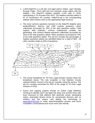- o 1-844-Help4TN is a toll free civil legal advice hotline, open Monday through Friday. TALS staff and one volunteer assist callers with the helpline. The Help4TN helpline handled 4,139 calls in 2016, representing a 7% increase from 2015. The helpline reached callers in 91 of Tennessee's 95 counties. Help4TN.org is the corresponding website which directs users to the appropriate legal resource.
- o The most common questions received on the Help4TN helpline were<br>landlord/tenant. divorce. and child custody questions. which divorce, and child custody questions, which collectively accounted for 33% of the total questions asked. Child support, debt collection, criminal, employment, probate, fee generating, and contract dispute questions collectively accounted for 24% of the total questions asked. Other questions accounted for 43% of the total questions asked. The top ten counties (by percentage of helpline questions asked) are identified below for a total of 56%. All other counties made up 34% of questions.



- o The county breakdown for TN Free Legal Answers closely tracks the breakdown above. The only exception is that Madison County replaced Wilson County in the top ten counties using the service. The top ten counties accounted for 58% of the usage of TN Free Legal Answers in 2016.
- o Future and ongoing projects include an Online Legal Wellness Checkup to identify users' top legal risk areas and connect them with local resources to help address their particular issues, developing online, automated divorce forms for uncontested divorces with no children and few assets, and adding bot technology to [www.HELP4TN.org](http://www.help4tn.org/) to make search/navigation process and forms completion conversational and much more user friendly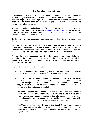#### **Pro Bono Legal Advice Clinics**

Pro Bono Legal Advice Clinics provide clients an opportunity to sit with an attorney to receive legal advice and information and to discuss their legal needs, remedies, and next steps. A Pro Bono Legal Advice Clinic is also an excellent opportunity for attorneys with limited time or experience to provide pro bono services and to network with other attorneys.

The ATJ Commission maintains a list of clinics across the state which is available online on the access to justice website, [www.justiceforalltn.com.](http://www.justiceforalltn.com/) Some of the Clinic Providers also fall into other report categories such as Bar Associations, Law Schools, and LSC-Funded Providers.

To date, twenty-three responses have been received from Clinic Providers across the state.

Of those Clinic Provider responses, seven responses were clinics affiliated with a university or law school; six responses were clinics affiliated with an LSC-Funded Provider; three responses were clinics affiliated with a Bar Association; and four responses were clinics affiliated with a non-profit not previously identified.

Further, the clinic responses were from both general civil legal clinics and specialized clinics. Specialized clinic responses included two immigration clinics, two family law clinics, two business /tax clinics, one arts clinic, two mediation clinics, and one elder care clinic.

Highlights from Clinic Providers include:

- 23 Clinic Providers report mobilizing over 600 volunteer attorneys and over 150 non-attorney volunteers to collectively serve over 3,500 clients.
- Legal Aid of East TN: reports it is currently working on an elder abuse shelter network in conjunction with the local Family Justice Center and a private law firm that has agreed to collaborate on a large scale pro bono project whereby they will accept 1-2 litigation cases a month and other cases where legal advice or limited assistance is needed.
- Volunteer Lawyers and Professionals for the Arts and the Nashville Entertainment Law Center: report they assist with arts-related matters for low income artists and nonprofits related to the arts, primarily in the areas of entertainment law and intellectual property, and in 2016 partnered on a faithbased project with the Church of the Redeemer in Green Hills.
- The University of Tennessee College of Law Legal Clinical Program: reports it hired a new faculty member in 2016 to focus on Community and Economic Development, with a focus on creating a future clinic that will serve non-profit organizations.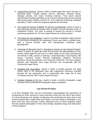- Coparenting Solutions: reports it offers a family legal clinic which focuses on parenting plans, custody matters, divorce, relocation, domestic abuse, teenage parents, and cases involving veterans. They report several partnerships including operating out of a church-owned property and working with several other charities and the VA. CLE credit and continuing mediation education ("CME") credit are programs planned for the future.
- The Legal Aid Society of Middle TN and the Cumberlands: reports it hosts a third Saturday general civil advice clinic at Higher Ground Worship Center in Rutherford County. The clinic is looking to expand its service to include answering questions for TN Free Legal Answers as a future project.
- TN Justice for Our Neighbors: reports it provides immigration legal services to low-income immigrants at a Methodist Church and holds a monthly clinic, with a second monthly clinic and naturalization workshop under development.
- University of Memphis Cecil C. Humphreys School of Law Clinical Program: reports it directs an elder law clinic that provides full representation to lowincome clients aged 55 and over in a wide range of civil cases including but not limited to wills, powers of attorney, conservatorships, real property, title issues, consumer issues, financial exploitation, adoption, insurance problems, Social Security/SSI, and TennCare CHOICES. The clinic program partners with Memphis Area Legal Services and occasionally with the Community Legal Center.
- Kingsport Bar Association: reports it holds a monthly general civil legal advice clinic in the downtown area with malpractice insurance provided through the bar association and in partnership with Legal Aid of East Tennessee and the TBA Young Lawyers Division.
- Catholic Charities of TN, Inc.: reports it hosts a monthly Immigration Legal Services clinic providing free immigration legal consultation.

#### **Law School Pro Bono**

In its 2012 Strategic Plan, the ATJ Commission acknowledged the importance of introducing pro bono services to future attorneys while they are still in law school. As noted previously, the majority of attorneys who performed pro bono work in law school reported that it made them more likely or far more likely to participate in pro bono once they were licensed. Further, attorneys from our clinic programs report that law student participation in their clinics brings valuable energy and enthusiasm to their programs.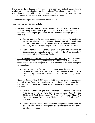There are six Law Schools in Tennessee, and each Law School reported some level of pro bono participation from their students. They also reported participating in pro bono projects with multiple partner agencies across the state. All Law Schools report that their Dean participates in pro bono activities.

All six Law Schools provided information for this report.

Highlights from Law Schools include:

- Belmont University College of Law (Belmont): reports 50% of students and 75% of faculty participated in pro bono in 2016. Belmont reports that it informally encourages pro bono to its students through promotional materials.
	- o Current partners for pro bono engagement include: Advocates for Women's And Kids' Equality; Compassionate Counsel; TN Justice For Our Neighbors; Legal Aid Society of Middle TN and the Cumberlands; TN Immigrant and Refugee Rights Coalition; and TN Justice Center.
	- o Future Program Plans: Continuing current projects and expanding on opportunities for students to be involved with TennCare appeals in connection with the TN Justice Center.
- Lincoln Memorial University Duncan School of Law (LMU): reports 92% of students and 100% of faculty participated in pro bono in 2016. LMU reports that it requires students complete at least thirty hours of pro bono work prior to graduation.
	- o Current partners for pro bono engagement include: Pro Bono partnerships with Legal Aid of East TN, Juvenile Court of Knox County, Department of Veterans Affairs, Sevier County Public Defender's office.
- Nashville School of Law (NSL): reports that it does not track the percentage of students or faculty who participate in pro bono. NSL reports that it informally encourages pro bono to its students through promotional materials.
	- o Current partners for pro bono engagement include: Wills Clinic (Habitat for Humanity); Wills for Heroes; Juvenile Court Custody Clinic; Mock Trial Competitions; TN Free Legal Answers; Music City Community Court Expungement Clinic; and Public Defenders Office internship.
	- o Future Program Plans: A more structured program of opportunities for students and a pro bono recognition program for students. Clinics will be offered for credit.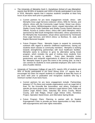- The University of Memphis Cecil C. Humphreys School of Law (Memphis): reports that 90-95% of students and 100% of faculty participated in pro bono in 2016. Memphis reports that it requires students complete at least forty hours of pro bono work prior to graduation.
	- o Current partners for pro bono engagement include: clinics with Memphis Area Legal Services (veterans' clinics, Wills for Heroes, and others); clinics with the Community Legal Center; Street Law clinics; VITA tax clinics; MEMimmigration clinics; unpaid internships with the Shelby County Public Defender and Shelby County District Attorney's Offices; Access to Justice clinics; clinics with Latino Memphis; clinics sponsored by Mid-South Immigration Advocates; clinics sponsored by the Memphis Bar Association; virtual clinics sponsored by Tennessee Area Legal Services; and DACA clinics; Le Bonheur, St. Jude, and Baptist Memorial Hospital.
	- o Future Program Plans: Memphis hopes to expand its community outreach with regard to adverse childhood experiences, having our students teach classes to community members. Memphis is working towards strengthening partnerships with local healthcare facilities. Memphis wants to continue to grow its alternative spring break program, which includes the goal of inviting more students from around the country to attend. Every year Memphis invites government and nonprofit organizations to attend its public interest fair. Memphis hopes to grow this event in the coming year, so that it can connect its students to more potential employers who work in the area of public interest.
- University of Tennessee College of Law (UT): reports 43% of students and 90% of faculty participated in pro bono during 2016. UT reports that it encourages but does not require students to complete at least fifty hours of pro bono work prior to graduation and recognizes students who log a minimum number of pro bono hours.
	- o Current partners for pro bono engagement include: Partnerships between UT Pro Bono and outside organizations such as Legal Aid of East TN, the Knoxville Bar Association, and others. Examples of specific pro bono projects are: Veterans Legal Advice Clinic, Faith and Justice Legal Advice Clinic, Saturday Bar (Knox County, Blount County, and Oak Ridge), Virtual Legal Advice Clinic, Homeless Project, Operation Stand-Down, and Alternative Spring Break.
	- o Future Program Plans: Planning to partner with its Student Expungement Clinic to provide pro bono opportunities to help clients with expungements and voter rights restoration.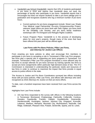- Vanderbilt Law School (Vanderbilt): reports that 10% of students participated in pro bono in 2016 and reports that Vanderbilt does not track the percentage of faculty who participate in pro bono. Vanderbilt reports that it encourages but does not require students to take a pro bono pledge prior to graduation and recognizes students who log a minimum number of pro bono hours.
	- o Current partners for pro bono engagement include: Street Law; Shade Tree Medical Legal Partnership; Re-entry Entrepreneurship Project; veterans' legal claims pro bono work with Seth Ogden; pro bono work for the Disability Law Society; and pro bono family readiness workshops with TN Immigrant and Refugee Rights Coalition.
	- o Future Program Plans: Vanderbilt is in the process of developing plans for next year's projects, though many of the ones that have been offered this past year will be offered again.

#### **Law Firms with Pro Bono Policies, Pillar Law Firms, and** *Attorney for Justice* **Law Offices**

From enacting pro bono policies to allow and encourage firm members to participate in pro bono to accepting a role in Tennessee's Pillar Law Firm program, law firms play a special role in supporting pro bono programs in Tennessee. For example, Tennessee's Pillar Law Firm program formalizes a more efficient way for law firms to accept referrals for pro bono services by training specific law firms to accept pro bono assignments within particular high-demand areas of law. The ATJ Commission is interested in understanding the particular needs and resources of law firms in order to continue to maximize the impact that firms provide in equal access to justice efforts in the state.

The Access to Justice and Pro Bono Coordinators surveyed law offices including those with pro bono policies, Pillar Law Firms, and offices with attorneys who were recognized as 2016 *Attorneys for Justice* on their pro bono efforts.

To date, over a hundred responses have been received from Law Firms across the state.

Highlights from Law Firms include:

• 101 law firms responded to the survey with offices in the following locations in Tennessee: Brentwood, Chattanooga, Clarksville, Collierville, Cordova, Dresden, Fayetteville, Franklin, Gallatin, Goodlettsville, Greeneville, Hendersonville, Huntington, Jackson, Johnson City, Kingsport, Knoxville, Lebanon, Madison, Memphis, Mountain City, Murfreesboro, Nashville, Oak Ridge, Ooltewah, Pleasant View, Pulaski, Sevierville, Sparta, and St. Lewis.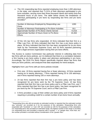• The 101 responding law firms reported employing more than 1,000 attorneys in the state, and reported that 71.01% of their attorneys participated in pro bono activities, serving more than three thousand clients and nearly forty-five thousand hours of pro bono. The table below shows the breakdown of attorneys participating in pro bono by responding law firms and pro bono provided.<sup>[8](#page-32-0)</sup>

| Number of Attorneys Employed by Responding Law           | 1283   |
|----------------------------------------------------------|--------|
| Firms                                                    |        |
| Number of Attorneys Participating in Pro Bono Activities | 911    |
| Approximate Number of Pro Bono Clients Served            | >3,016 |
| Approximate Number of Hours Given to Pro Bono            | 44.464 |
| Efforts                                                  |        |

• Of the 101 law firms who responded, 15 firms indicated that their firm is a Pillar Law Firm, 40 firms indicated that their firm has a pro bono policy in place, 59 firms indicated that their firm has been recognized for its pro bono work by the Tennessee Supreme Court, and 53 firms reported partnering with a legal services organization during their pro bono efforts.

The Access to Justice Commission has particular interest in collecting data from law firms with pro bono policies, as it is believed that there is a correlation between a firm having a pro bono policy in place and attorneys participating in pro bono. Accordingly, the 2016 Pro Bono Report specifically inquired about law firms that have pro bono policies, and analyzed that data separately for trend analysis.

Highlights from Law Firms with pro bono policies include:

- Firm size: 19 firms reported having five or fewer attorneys, 10 firms reported having six to twenty attorneys, 7 firms reported having 20 to 100 attorneys, and 4 firms reported having 100 or more attorneys.
- 24 law firms reported that their firm has a pro bono policy *and* has been recognized for pro bono work by the TN Supreme Court, 10 law firms reported that their firm has a pro bono policy *and* is a Pillar Law Firm, and 7 firms reported that their firm has a pro bono policy, has been recognized for pro bono by the TN Supreme Court, *and* is a Pillar Law Firm.
- 6 firms provided a copy of their written pro bono policy and 8 firms reported requiring or providing credit for a certain number of pro bono hours annually.

<span id="page-32-0"></span><sup>&</sup>lt;sup>8</sup> Responding firms who did not provide an estimated number or reported that the estimated number was "unknown" are recorded as 0 for the purposes of this calculation. Responding firms who responded with "hundreds" or "over 100" are recorded as 100 for the purposes of this calculation. For responding firms who provided an estimated range, the highest number of the range is recorded. For responding firms who provided a response with a number "+" or "greater than, more than, etc." the number provided is recorded without consideration of the "greater than."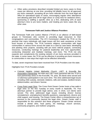• Other policy provisions described included limited pro bono cases to three cases per attorney at one time, providing full billable hours for all approved pro bono casework, accepting all pro bono referrals from the local legal aid office for specialized types of cases, encouraging regular clinic attendance and allowing paid time off for legal clinics or comp time for weekend clinics, sponsoring or staffing a specific clinic as a firm, dedicating 10% of each attorney's time to pro bono matters, and treating pro bono cases like any other case.

#### **Tennessee Faith and Justice Alliance Providers**

The Tennessee Faith and Justice Alliance ("TFJA") is an alliance of faith-based groups in Tennessee who commit to providing legal resources to their congregations and communities. The ATJ Commission created the TFJA on the premise that many individuals with legal issues will first seek assistance at their local houses of worship. The TFJA connects religious communities with legal communities in various forms across the state on a case by case basis; developing and planting clinic projects, assisting with pro bono referral projects, connecting resources, conducting trainings for pastoral leadership and CLE opportunities, conducting interpreter and mediator trainings, and more. The TFJA not only expands and complements the existing network of pro bono services provided in the state, in some cases, the TFJA can be effective in providing pro bono resources to communities in new ways that might not be effective otherwise.

To date, seven responses have been received from TFJA Providers over the state.

Highlights from TFJA Providers include:

- Colonial Heights United Methodist Church, LAET, & Knoxville Bar Association Partnership: the KBA and LAET have partnered with the TFJA to host partnership clinics in the Knoxville, TN, area. 38 clients were served and 13 attorneys participated in one such clinic. The clinic addressed legal issues including child custody, domestic relations, wills and estates, landlord tenant, debtor/creditor, and drivers' license.
- Cross Point Legal Clinic: The Cross Point Dream Center hosts a free walk-in legal clinic on the first Tuesday of every month in Nashville, TN. Five attorneys partner to provide legal advice, and, in 2016, 113 clients were served. The clinic addressed legal issues including drivers' license reinstatement, unemployment benefits questions, expungement, divorce and child support, and housing. The Dream Center offers a comprehensive set of services to the community beyond the legal clinic. Dream Center staff is responsible for this outreach and these programs. Dream Center services include a dental clinic, food pantry, AA meetings, church services, community programs, and mothers' programs.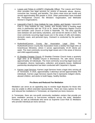- **Loaves and Fishes & LASMTC (Clarksville Office): The Loaves and Fishes** clinic provides free legal services for victims of domestic abuse, divorce, consumer law, housing, and benefits. The clinics meet once per month and served approximately 800 people in 2016. Other partnerships have included the Presbyterian Church, the Ministers' Organization, and Methodist Women's Organizations.
- Lipscomb's Fred D. Gray Institute for Law, Justice, and Society: Lipscomb's Fred D. Gray Institute for Law, Justice, and Society hosts a monthly legal clinic in partnership with the TFJA at St. James Missionary Baptist Church and Schrader Lane Church of Christ in Nashville, TN. The clinic typically sees between ten and twenty volunteers, and served 64 clients in 2016. The most commonly occurring legal issues are in the areas of wills and estates, domestic cases, and personal injury. Outreach is conducted by the partner churches.
- Rutherford/Cannon County Bar Association Legal Clinic: The Rutherford/Cannon County Bar Association hosts a weekly free legal clinic at Greenhouse Ministries, where it serves approximately 10-20 clients per week. The most commonly occurring legal issues are in the areas of divorce and child support/custody.
- El Shaddai Christian Church: El Shaddai Christian Church hosts a quarterly legal clinic at El Shaddai Church in Brentwood, TN, with clinics serving approximately 18 individuals. The most commonly occurring legal issues are immigration, divorce, bankruptcy, collection, and property issues. Additional partnership development has been conducted with Carpenter's Square.
- Karnes Legal Services: Karnes Legal Services hosts a legal clinic serving all of Tennessee. In 2016, approximately 3 attorneys served approximately 400 individuals. Karnes Legal Services reports that it represents indigent clients, abused children, and works to build happy, healthy families.

#### **Pro Bono and Reduced Fee Mediation**

Mediation can serve as an appealing way to resolve legal disputes for those who may be unable to afford extended representation. There are many options for free and reduced fee mediations in Tennessee, an important pro bono resource.

In Tennessee, there are non-profit community mediation centers that provide pro bono mediation services to low-income residents across the state, Mediation Providers, as well as individuals who serve as Supreme Court Rule 31 Mediators who provide individual pro bono services.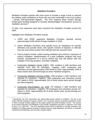#### **Mediation Providers**

Mediation Providers partner with local courts to provide a range of free or reduced fee (sliding scale) mediations to those who are most vulnerable in the court system - namely, self-represented litigants. The AOC supports these centers through limited grant funding designed to increase disadvantaged Tennesseans' access to mediation services.<sup>[9](#page-35-0)</sup>

To date, nine responses have been received from Mediation Providers across the state.

Highlights from Mediation Providers include:

- VORP and PEMF supported Mediation Providers reported serving approximately 6,400 clients through mediation in 2016.
- Seven Mediation Providers note specific focus on mediations for juvenile offenders and juvenile needs, with specific mention of disputes or referrals from the local school system and referrals from the Juvenile Court.
- Future projects include: public housing mediation (pre-eviction), expansion of truancy mediation, implementation of a peer mediation program with local schools, development of a pro-se docket day that will partner with the mediator of the day program, and elder mediation.
- Community Mediation Center (CMC): CMC employs 3 staff members and reported more than 50 volunteers. Together, CMC employees and volunteers served approximately 1400 clients in 2016. Approximately 1400 of those clients were served through pro bono mediation programs.
- Community Mediation Services (CMS): CMS employs 3 staff members and reported 25 volunteers. Together, CMS employees and volunteers served 147 clients in 2016. Approximately 103 of those clients were served through pro bono programs.
- Community Reconciliation, Inc. (CR): CR employs 2 staff members and reported 31 volunteers. Together, CR employees and volunteers served 147 clients in 2016. Approximately 60 of those clients were served through pro bono programs.

<span id="page-35-0"></span> $9$  Specifically, the AOC administers two state-funded grants related to mediation. The first is the Victim Offender Mediation Program (VORP). The Tennessee General Assembly established VORP in 1993 to provide funding support for the state's earliest non-profit mediation centers. The second is the Parent Education and Mediation Fund (PEMF) established pursuant to Supreme Court Rule 38 and T.C.A. §6-6-413. The AOC distributes these funds to grantees to provide education and mediation for indigent parents involved in absolute divorce, legal separation, annulment, or separate maintenance proceedings, and any other custody matters.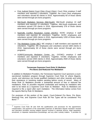- First Judicial District Court Clinic (Court Clinic): Court Clinic employs 3 staff members and reported 5 volunteers. Together, the Court Clinic employees and volunteers served 60 clients in 2016. Approximately 60 of those clients were served through pro bono programs.
- Mid-South Mediation Services (Mid-South): Mid-South employs 10 staff members and reported 14 volunteers. Together, Mid-South employees and volunteers served 378 clients in 2016. Approximately 378 of those clients were served through pro bono programs.
- Nashville Conflict Resolution Center (NCRC): NCRC employs 4 staff members and reported 40 volunteers. Together, NCRC employees and volunteers served 1600 clients in 2016. Approximately 1200 of those clients were served through pro bono programs.
- The Mediation Center (MC): MC employs 2 staff members and reported 40 volunteers. Together, MC employees and volunteers served 1600 clients in 2016. Approximately 60 of those clients were served through pro bono programs.
- VORP/Community Mediation Center, Inc.: (V/CMC): employs 2 staff members and reported 8 volunteers. Together, V/CMC employees and volunteers served 2500 clients in 2016. Approximately 2500 of those clients were served through pro bono programs.

#### **Tennessee Supreme Court Rule 31 Mediator Pro Bono and Reduced Fee Mediation**

In addition to Mediation Providers, the Tennessee Supreme Court sponsors a courtsanctioned mediation program through Supreme Court Rule 31 where litigants, courts, and attorneys can locate qualified mediators and other neutrals and enlist their assistance in resolving matters pending before courts of record. Many of these Rule 31 Mediators provide a substantial amount of free or reduced fee mediations. Rule 31 provides required credentials and training for mediators who wish to be listed as a Supreme Court Rule 31 Mediator. Rule 31 Mediators are required to file a report after each mediation. The information below comes from the reports filed by Rule 31 Mediators.

For purposes of this portion of the report, Court-Ordered Pro Bono, Pro Bono, Reduced Fee, and Supreme Court Rule 38 Fee Types will be considered "Pro Bono". [10](#page-36-0)

<span id="page-36-0"></span> $10$  Supreme Court Rule 38 sets forth the qualifications and processes for the appointment, compensation, and payment of the reasonable expenses of alternative dispute resolution neutrals and education providers serving indigent parents involved in absolute divorce, legal separation, annulment, or separate maintenance proceedings, and any other custody matters. It provides for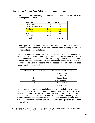Highlights from Supreme Court Rule 31 Mediator reporting include:

• The number and percentage of mediations by Fee Type for the 2016 reporting year are as follows:

| <b>Fee Type</b>               | %     | No. of |
|-------------------------------|-------|--------|
| <b>Court Costs</b>            | 0.4%  | 26     |
| <b>Court-Ordered Pro Bono</b> | 0.4%  | 23     |
| <b>Pro Bono</b>               | 6.1%  | 361    |
| Reduced                       | 4.1%  | 244    |
| <b>SCR</b>                    | 1.2%  | 69     |
| Standard                      | 87.8% | 5,196  |
| <b>Total</b>                  |       | 5.919  |

- Some type of Pro Bono Mediation is reported from 46 counties in Tennessee, with Davidson County and Shelby County reporting the largest numbers of pro bono mediations.
- Mediators reported conducting Pro Bono Mediations in six categories of courts in 2016. The most commonly occurring court for Pro Bono Mediations to be conducted was Juvenile Court, followed by General Sessions Court, Circuit Court, and Chancery Court. The table below shows the breakdown of number of Pro Bono Mediations and the respective court where the case would have been docketed:

| <b>Number of Pro Bono Mediations</b> | <b>Court Where Case Docketed</b> |
|--------------------------------------|----------------------------------|
| 75                                   | <b>Chancery Court</b>            |
| 92                                   | <b>Circuit Court</b>             |
|                                      | <b>Federal Court</b>             |
| 173                                  | <b>General Sessions Court</b>    |
| 352                                  | Juvenile Court                   |
|                                      | <b>Probate Court</b>             |

• Of the types of pro bono mediations, the vast majority were domestic relations matters involving children including child custody and visitation, child support, and divorces with children, followed closely by landlord tenant matters and domestic relations matters without children including divorces without children and post-divorce issues. Other common subject matters were contracts/debts/specific performance and damages/torts other than personal injury.

the distribution of moneys in the Divorcing Parent Education and Mediation Fund established and funded under Title 36, Chapter 6, Part 4 of the Tennessee Code Annotated.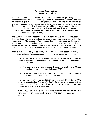#### **Tennessee Supreme Court Pro Bono Recognition**

In an effort to increase the number of attorneys and law offices providing pro bono services to those who cannot afford legal costs, the Tennessee Supreme Court has an extensive pro bono recognition program. The Supreme Court honors all attorneys meeting the aspirational goal of 50 pro bono hours annually as *Attorneys for Justice*, with a goal of increasing statewide pro bono work to 50 percent participation. The program is entirely voluntary and based on self-reporting. The Supreme Court further recognizes law offices that perform an average of at least 50 hours of pro bono service per attorney.

The Supreme Court also recognizes Law Students for Justice upon graduation for those students who perform at least 50 hours of pro bono service during their law school career. The Supreme Court honors both *Law Students for Justice* and *Attorneys for Justice* at regional recognition events. Honorees are given certificates signed by all five Tennessee Supreme Court Justices and are able to affix the recognition seal on their professional websites, stationary, and other materials.

Thanks to the generosity of so many, Access to Justice has become a reality for many disadvantaged Tennesseans and the following have received recognition.

- In 2016, the Supreme Court recognized 495 attorneys as *Attorneys for Justice.* Each attorney provided 50 or more hours of pro bono service in the 2015 calendar year.
	- o The attorneys who were recognized reported a total of over 88,820 hours of pro bono service provided during 2015.
	- o Sixty-four attorneys each reported providing 300 hours or more hours of pro bono service in the 2015 calendar year.
- Four law firms submitted an application for recognition directly to the AOC and were recognized as *Attorneys for Justice* for pro bono work done by their attorneys. These offices provided an average of 50 or more hours *per* attorney during the 2015 calendar year.
- In 2016, 130 *Law Students for Justice* were recognized for performing 50 or more hours of pro bono legal work over the course of their law school careers.